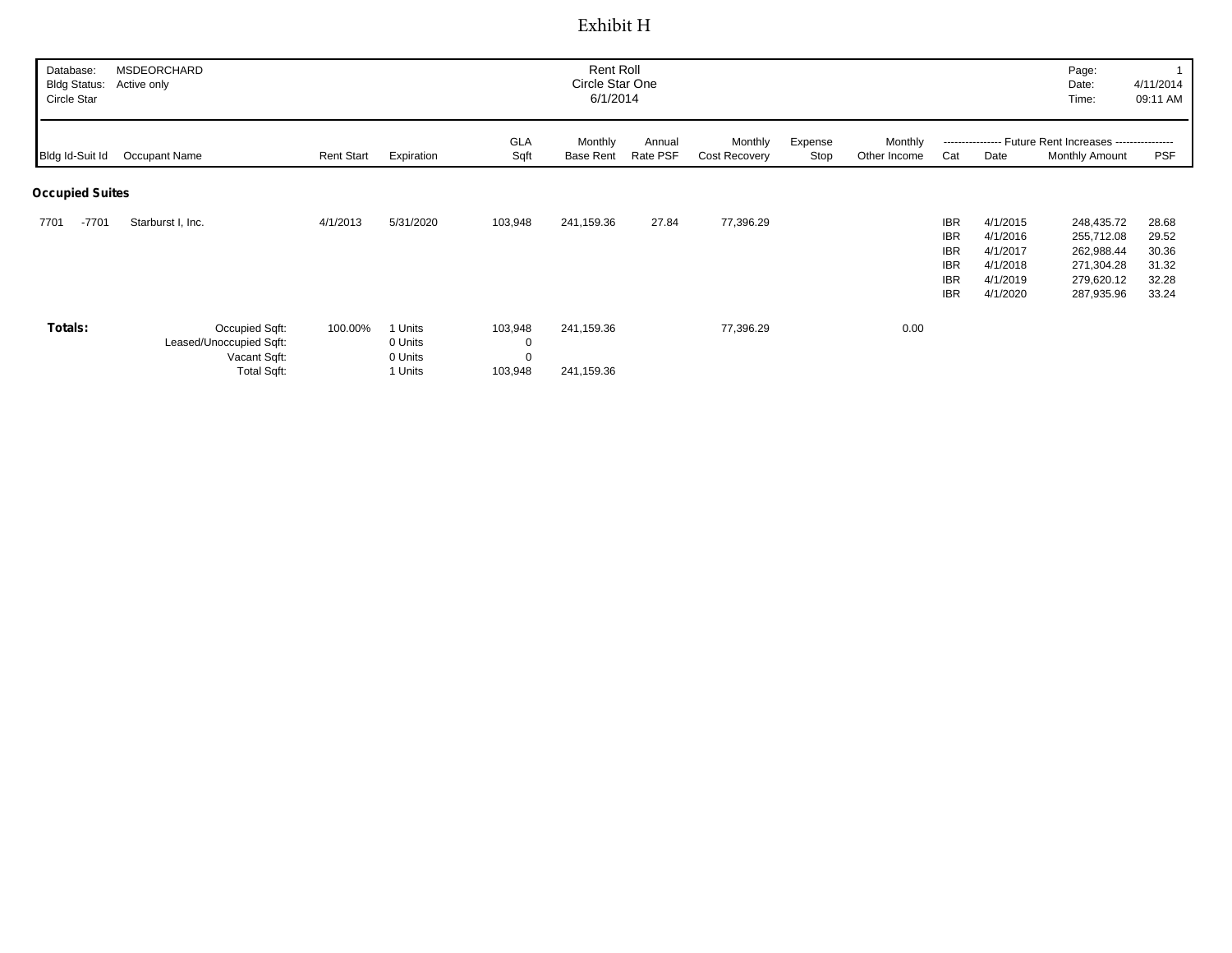## Exhibit H

| Database:<br><b>Bldg Status:</b><br>Circle Star | Rent Roll<br><b>MSDEORCHARD</b><br>Circle Star One<br>Active only<br>6/1/2014   |                   |                                          |                         |                          |                    |                          |                 |                         |                                                                                  | Page:<br>Date:<br>Time:                                              | 4/11/2014<br>09:11 AM                                                            |                                                    |
|-------------------------------------------------|---------------------------------------------------------------------------------|-------------------|------------------------------------------|-------------------------|--------------------------|--------------------|--------------------------|-----------------|-------------------------|----------------------------------------------------------------------------------|----------------------------------------------------------------------|----------------------------------------------------------------------------------|----------------------------------------------------|
| Bldg Id-Suit Id                                 | Occupant Name                                                                   | <b>Rent Start</b> | Expiration                               | GLA<br>Sqft             | Monthly<br>Base Rent     | Annual<br>Rate PSF | Monthly<br>Cost Recovery | Expense<br>Stop | Monthly<br>Other Income | Cat                                                                              | Date                                                                 | ---------------- Future Rent Increases ----------------<br>Monthly Amount        | <b>PSF</b>                                         |
| <b>Occupied Suites</b>                          |                                                                                 |                   |                                          |                         |                          |                    |                          |                 |                         |                                                                                  |                                                                      |                                                                                  |                                                    |
| $-7701$<br>7701                                 | Starburst I, Inc.                                                               | 4/1/2013          | 5/31/2020                                | 103,948                 | 241,159.36               | 27.84              | 77,396.29                |                 |                         | <b>IBR</b><br><b>IBR</b><br><b>IBR</b><br><b>IBR</b><br><b>IBR</b><br><b>IBR</b> | 4/1/2015<br>4/1/2016<br>4/1/2017<br>4/1/2018<br>4/1/2019<br>4/1/2020 | 248,435.72<br>255,712.08<br>262,988.44<br>271,304.28<br>279,620.12<br>287,935.96 | 28.68<br>29.52<br>30.36<br>31.32<br>32.28<br>33.24 |
| Totals:                                         | Occupied Sqft:<br>Leased/Unoccupied Sqft:<br>Vacant Sqft:<br><b>Total Sqft:</b> | 100.00%           | 1 Units<br>0 Units<br>0 Units<br>1 Units | 103,948<br>0<br>103,948 | 241,159.36<br>241,159.36 |                    | 77,396.29                |                 | 0.00                    |                                                                                  |                                                                      |                                                                                  |                                                    |